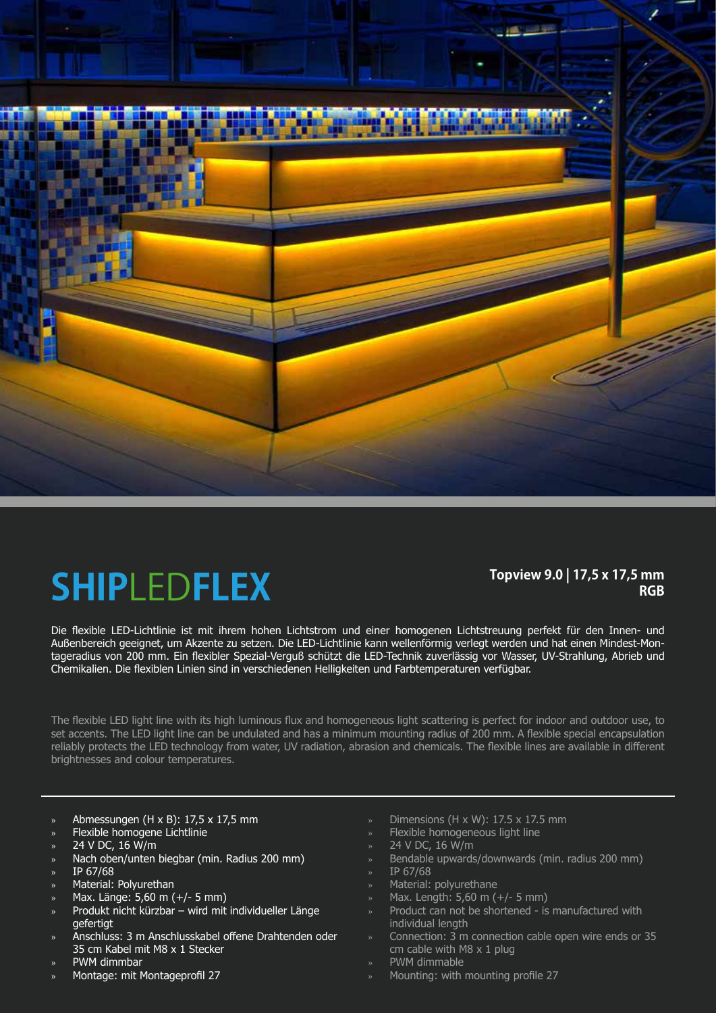

## **SHIP**LED**FLEX**

### **Topview 9.0 | 17,5 x 17,5 mm RGB**

Die flexible LED-Lichtlinie ist mit ihrem hohen Lichtstrom und einer homogenen Lichtstreuung perfekt für den Innen- und Außenbereich geeignet, um Akzente zu setzen. Die LED-Lichtlinie kann wellenförmig verlegt werden und hat einen Mindest-Montageradius von 200 mm. Ein flexibler Spezial-Verguß schützt die LED-Technik zuverlässig vor Wasser, UV-Strahlung, Abrieb und Chemikalien. Die flexiblen Linien sind in verschiedenen Helligkeiten und Farbtemperaturen verfügbar.

The flexible LED light line with its high luminous flux and homogeneous light scattering is perfect for indoor and outdoor use, to set accents. The LED light line can be undulated and has a minimum mounting radius of 200 mm. A flexible special encapsulation reliably protects the LED technology from water, UV radiation, abrasion and chemicals. The flexible lines are available in different brightnesses and colour temperatures.

- » Abmessungen (H x B): 17,5 x 17,5 mm
- » Flexible homogene Lichtlinie
- » 24 V DC, 16 W/m
- » Nach oben/unten biegbar (min. Radius 200 mm)
- » IP 67/68
- » Material: Polyurethan
- » Max. Länge: 5,60 m (+/- 5 mm)
- » Produkt nicht kürzbar wird mit individueller Länge gefertigt
- » Anschluss: 3 m Anschlusskabel offene Drahtenden oder 35 cm Kabel mit M8 x 1 Stecker
- » PWM dimmbar
- » Montage: mit Montageprofil 27
- » Dimensions (H x W): 17.5 x 17.5 mm
- Flexible homogeneous light line
- » 24 V DC, 16 W/m
- » Bendable upwards/downwards (min. radius 200 mm)
- » IP 67/68
- » Material: polyurethane
- » Max. Length: 5,60 m (+/- 5 mm)
- » Product can not be shortened is manufactured with individual length
- » Connection: 3 m connection cable open wire ends or 35 cm cable with M8  $\times$  1 plug
- » PWM dimmable
- » Mounting: with mounting profile 27